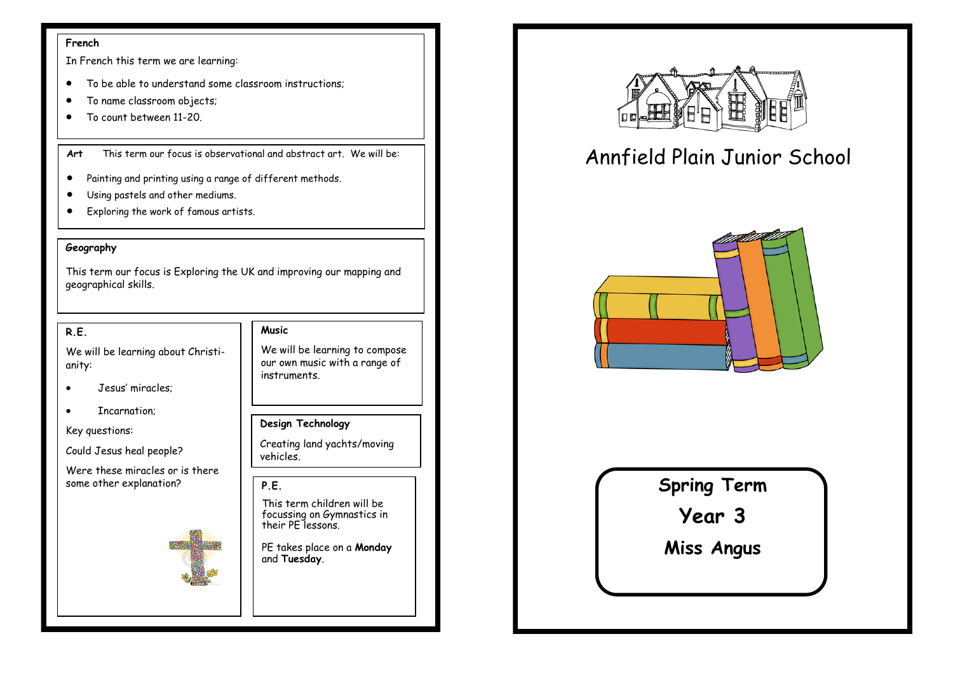#### **French**

In French this term we are learning:

- To be able to understand some classroom instructions;
- To name classroom objects;
- To count between 11-20

**Art** This term our focus is observational and abstract art. We will be:

- Painting and printing using a range of different methods.
- Using pastels and other mediums.
- Exploring the work of famous artists.

### **Geography**

This term our focus is Exploring the UK and improving our mapping and geographical skills.

### **R.E.**

We will be learning about Christianity:

- Jesus' miracles;
- Incarnation;

Key questions:

Could Jesus heal people?

Were these miracles or is there some other explanation?



### **Music**

We will be learning to compose our own music with a range of instruments.

### **Design Technology**

Creating land yachts/moving vehicles.

## **P.E.**  This term children will be

focussing on Gymnastics in their PE lessons.

PE takes place on a **Monday**  and **Tuesday**.



# Annfield Plain Junior School



## **Spring Term**

**Year 3**

**Miss Angus**